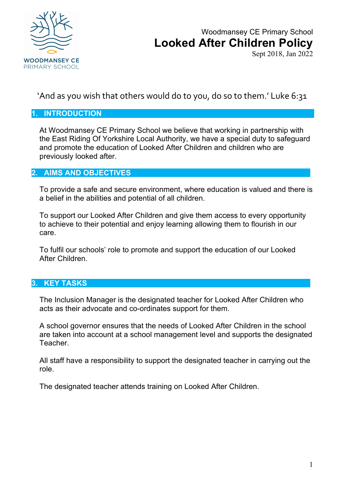

# Woodmansey CE Primary School **Looked After Children Policy**

Sept 2018, Jan 2022

'And as you wish that others would do to you, do so to them.' Luke 6:31

### **1. INTRODUCTION**

At Woodmansey CE Primary School we believe that working in partnership with the East Riding Of Yorkshire Local Authority, we have a special duty to safeguard and promote the education of Looked After Children and children who are previously looked after.

## **2. AIMS AND OBJECTIVES**

To provide a safe and secure environment, where education is valued and there is a belief in the abilities and potential of all children.

To support our Looked After Children and give them access to every opportunity to achieve to their potential and enjoy learning allowing them to flourish in our care.

To fulfil our schools' role to promote and support the education of our Looked After Children.

#### **3. KEY TASKS**

The Inclusion Manager is the designated teacher for Looked After Children who acts as their advocate and co-ordinates support for them.

A school governor ensures that the needs of Looked After Children in the school are taken into account at a school management level and supports the designated Teacher.

All staff have a responsibility to support the designated teacher in carrying out the role.

The designated teacher attends training on Looked After Children.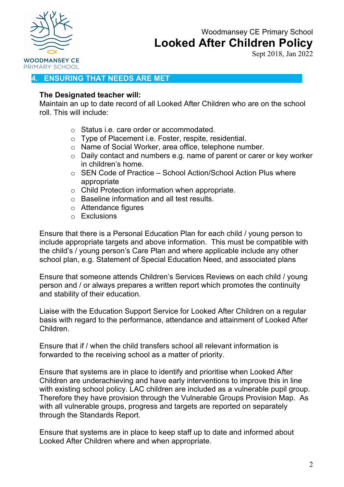

# Woodmansey CE Primary School **Looked After Children Policy**

Sept 2018, Jan 2022

# **4. ENSURING THAT NEEDS ARE MET**

#### **The Designated teacher will:**

Maintain an up to date record of all Looked After Children who are on the school roll. This will include:

- o Status i.e. care order or accommodated.
- o Type of Placement i.e. Foster, respite, residential.
- o Name of Social Worker, area office, telephone number.
- o Daily contact and numbers e.g. name of parent or carer or key worker in children's home.
- o SEN Code of Practice School Action/School Action Plus where appropriate
- o Child Protection information when appropriate.
- o Baseline information and all test results.
- o Attendance figures
- $\circ$  Exclusions

Ensure that there is a Personal Education Plan for each child / young person to include appropriate targets and above information. This must be compatible with the child's / young person's Care Plan and where applicable include any other school plan, e.g. Statement of Special Education Need, and associated plans

Ensure that someone attends Children's Services Reviews on each child / young person and / or always prepares a written report which promotes the continuity and stability of their education.

Liaise with the Education Support Service for Looked After Children on a regular basis with regard to the performance, attendance and attainment of Looked After Children.

Ensure that if / when the child transfers school all relevant information is forwarded to the receiving school as a matter of priority.

Ensure that systems are in place to identify and prioritise when Looked After Children are underachieving and have early interventions to improve this in line with existing school policy. LAC children are included as a vulnerable pupil group. Therefore they have provision through the Vulnerable Groups Provision Map. As with all vulnerable groups, progress and targets are reported on separately through the Standards Report.

Ensure that systems are in place to keep staff up to date and informed about Looked After Children where and when appropriate.